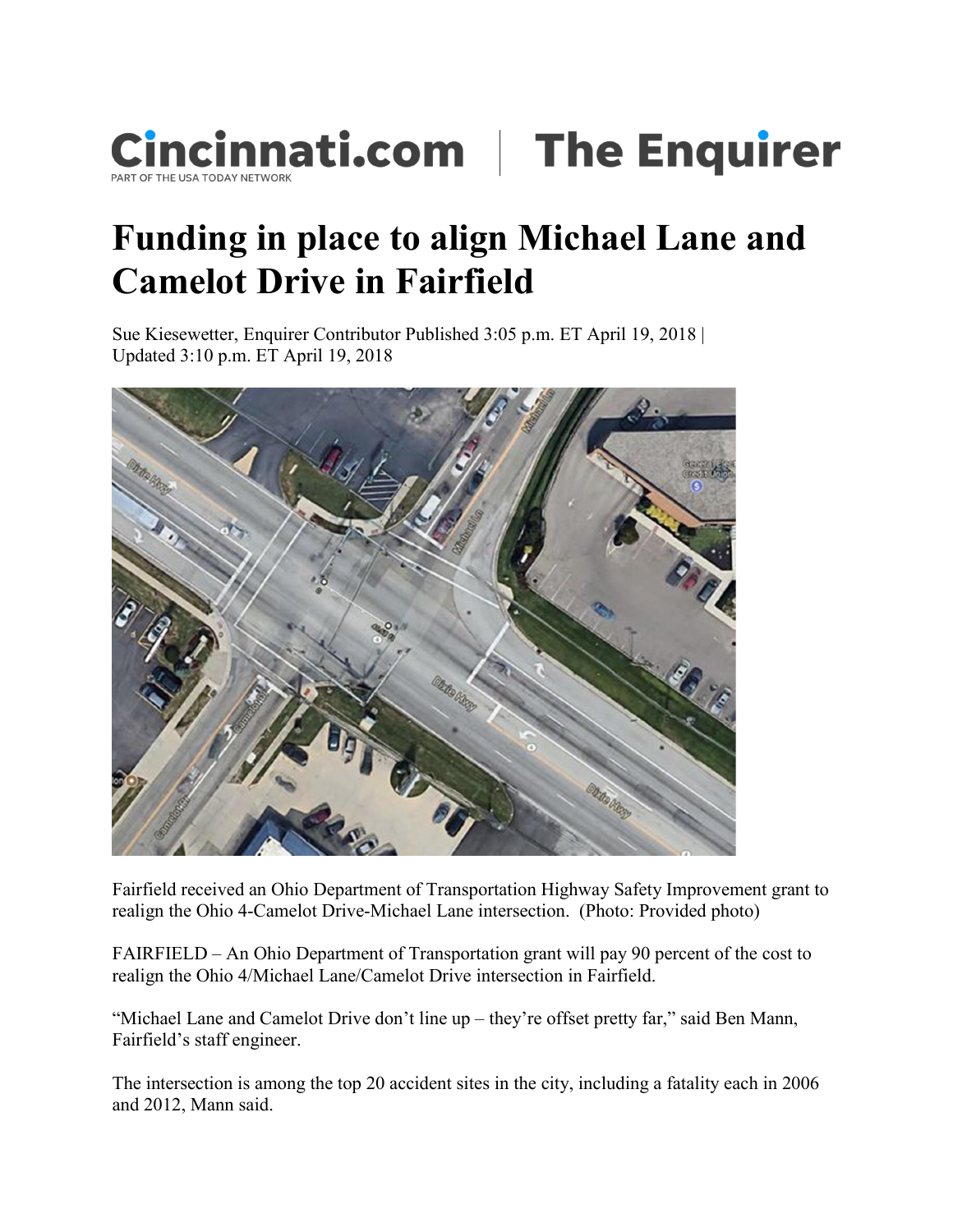

## Funding in place to align Michael Lane and Camelot Drive in Fairfield

Sue Kiesewetter, Enquirer Contributor Published 3:05 p.m. ET April 19, 2018 | Updated 3:10 p.m. ET April 19, 2018



Fairfield received an Ohio Department of Transportation Highway Safety Improvement grant to realign the Ohio 4-Camelot Drive-Michael Lane intersection. (Photo: Provided photo)

FAIRFIELD – An Ohio Department of Transportation grant will pay 90 percent of the cost to realign the Ohio 4/Michael Lane/Camelot Drive intersection in Fairfield.

"Michael Lane and Camelot Drive don't line up – they're offset pretty far," said Ben Mann, Fairfield's staff engineer.

The intersection is among the top 20 accident sites in the city, including a fatality each in 2006 and 2012, Mann said.